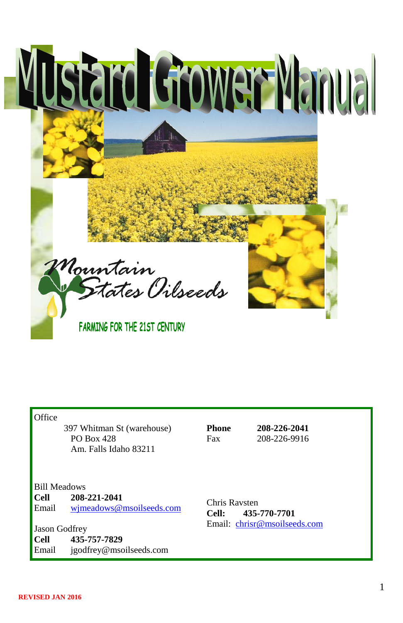

**Office** 

 397 Whitman St (warehouse) PO Box 428 Am. Falls Idaho 83211

**Phone 208-226-2041** Fax 208-226-9916

#### Bill Meadows

**Cell 208-221-2041** Email [wjmeadows@msoilseeds.com](mailto:wjmeadows@msoilseeds.com)

Jason Godfrey **Cell 435-757-7829** Email jgodfrey@msoilseeds.com

Chris Ravsten **Cell: 435-770-7701** Email: [chrisr@msoilseeds.com](mailto:chrisr@msoilseeds.com)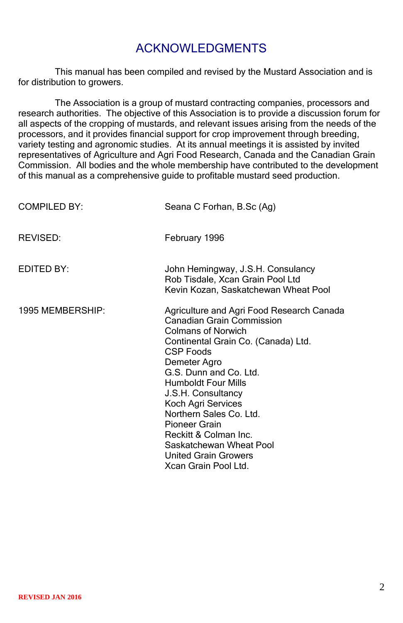## ACKNOWLEDGMENTS

This manual has been compiled and revised by the Mustard Association and is for distribution to growers.

The Association is a group of mustard contracting companies, processors and research authorities. The objective of this Association is to provide a discussion forum for all aspects of the cropping of mustards, and relevant issues arising from the needs of the processors, and it provides financial support for crop improvement through breeding, variety testing and agronomic studies. At its annual meetings it is assisted by invited representatives of Agriculture and Agri Food Research, Canada and the Canadian Grain Commission. All bodies and the whole membership have contributed to the development of this manual as a comprehensive guide to profitable mustard seed production.

| <b>COMPILED BY:</b> | Seana C Forhan, B.Sc (Ag)                                                                                                                                                                                                                                                                                                                                                                                                                        |
|---------------------|--------------------------------------------------------------------------------------------------------------------------------------------------------------------------------------------------------------------------------------------------------------------------------------------------------------------------------------------------------------------------------------------------------------------------------------------------|
| REVISED:            | February 1996                                                                                                                                                                                                                                                                                                                                                                                                                                    |
| EDITED BY:          | John Hemingway, J.S.H. Consulancy<br>Rob Tisdale, Xcan Grain Pool Ltd<br>Kevin Kozan, Saskatchewan Wheat Pool                                                                                                                                                                                                                                                                                                                                    |
| 1995 MEMBERSHIP:    | Agriculture and Agri Food Research Canada<br><b>Canadian Grain Commission</b><br><b>Colmans of Norwich</b><br>Continental Grain Co. (Canada) Ltd.<br><b>CSP Foods</b><br>Demeter Agro<br>G.S. Dunn and Co. Ltd.<br><b>Humboldt Four Mills</b><br>J.S.H. Consultancy<br>Koch Agri Services<br>Northern Sales Co. Ltd.<br>Pioneer Grain<br>Reckitt & Colman Inc.<br>Saskatchewan Wheat Pool<br><b>United Grain Growers</b><br>Xcan Grain Pool Ltd. |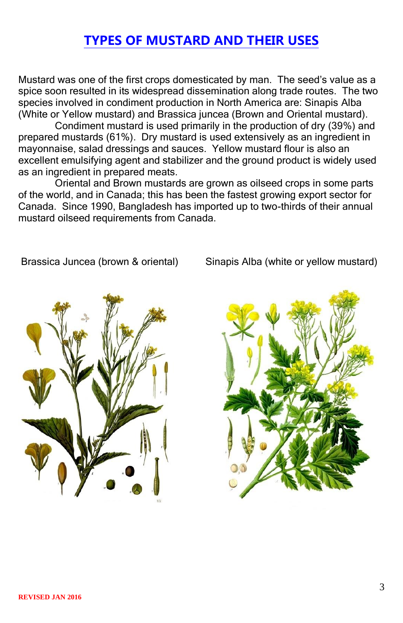## **TYPES OF MUSTARD AND THEIR USES**

Mustard was one of the first crops domesticated by man. The seed's value as a spice soon resulted in its widespread dissemination along trade routes. The two species involved in condiment production in North America are: Sinapis Alba (White or Yellow mustard) and Brassica juncea (Brown and Oriental mustard).

Condiment mustard is used primarily in the production of dry (39%) and prepared mustards (61%). Dry mustard is used extensively as an ingredient in mayonnaise, salad dressings and sauces. Yellow mustard flour is also an excellent emulsifying agent and stabilizer and the ground product is widely used as an ingredient in prepared meats.

Oriental and Brown mustards are grown as oilseed crops in some parts of the world, and in Canada; this has been the fastest growing export sector for Canada. Since 1990, Bangladesh has imported up to two-thirds of their annual mustard oilseed requirements from Canada.

Brassica Juncea (brown & oriental) Sinapis Alba (white or yellow mustard)



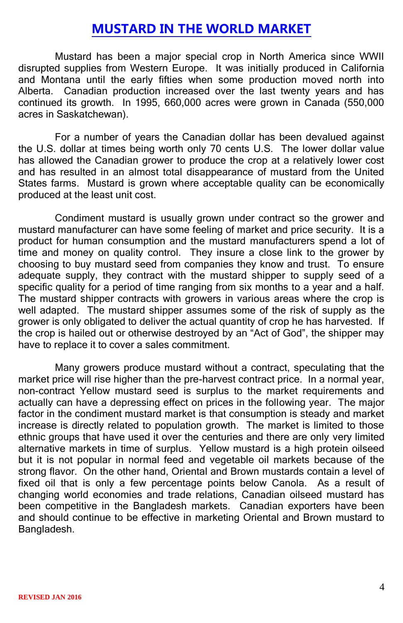### **MUSTARD IN THE WORLD MARKET**

Mustard has been a major special crop in North America since WWII disrupted supplies from Western Europe. It was initially produced in California and Montana until the early fifties when some production moved north into Alberta. Canadian production increased over the last twenty years and has continued its growth. In 1995, 660,000 acres were grown in Canada (550,000 acres in Saskatchewan).

For a number of years the Canadian dollar has been devalued against the U.S. dollar at times being worth only 70 cents U.S. The lower dollar value has allowed the Canadian grower to produce the crop at a relatively lower cost and has resulted in an almost total disappearance of mustard from the United States farms. Mustard is grown where acceptable quality can be economically produced at the least unit cost.

Condiment mustard is usually grown under contract so the grower and mustard manufacturer can have some feeling of market and price security. It is a product for human consumption and the mustard manufacturers spend a lot of time and money on quality control. They insure a close link to the grower by choosing to buy mustard seed from companies they know and trust. To ensure adequate supply, they contract with the mustard shipper to supply seed of a specific quality for a period of time ranging from six months to a year and a half. The mustard shipper contracts with growers in various areas where the crop is well adapted. The mustard shipper assumes some of the risk of supply as the grower is only obligated to deliver the actual quantity of crop he has harvested. If the crop is hailed out or otherwise destroyed by an "Act of God", the shipper may have to replace it to cover a sales commitment.

Many growers produce mustard without a contract, speculating that the market price will rise higher than the pre-harvest contract price. In a normal year, non-contract Yellow mustard seed is surplus to the market requirements and actually can have a depressing effect on prices in the following year. The major factor in the condiment mustard market is that consumption is steady and market increase is directly related to population growth. The market is limited to those ethnic groups that have used it over the centuries and there are only very limited alternative markets in time of surplus. Yellow mustard is a high protein oilseed but it is not popular in normal feed and vegetable oil markets because of the strong flavor. On the other hand, Oriental and Brown mustards contain a level of fixed oil that is only a few percentage points below Canola. As a result of changing world economies and trade relations, Canadian oilseed mustard has been competitive in the Bangladesh markets. Canadian exporters have been and should continue to be effective in marketing Oriental and Brown mustard to Bangladesh.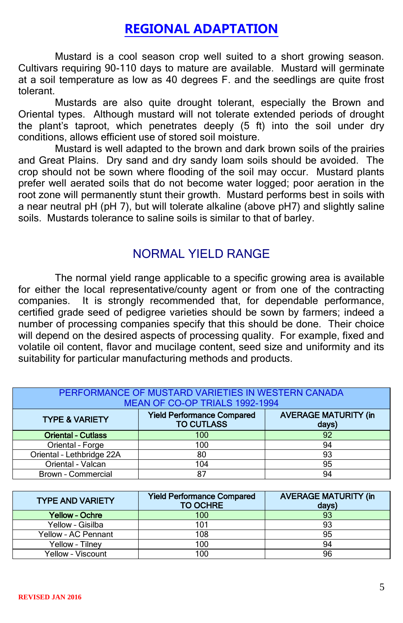## **REGIONAL ADAPTATION**

Mustard is a cool season crop well suited to a short growing season. Cultivars requiring 90-110 days to mature are available. Mustard will germinate at a soil temperature as low as 40 degrees F. and the seedlings are quite frost tolerant.

Mustards are also quite drought tolerant, especially the Brown and Oriental types. Although mustard will not tolerate extended periods of drought the plant's taproot, which penetrates deeply (5 ft) into the soil under dry conditions, allows efficient use of stored soil moisture.

Mustard is well adapted to the brown and dark brown soils of the prairies and Great Plains. Dry sand and dry sandy loam soils should be avoided. The crop should not be sown where flooding of the soil may occur. Mustard plants prefer well aerated soils that do not become water logged; poor aeration in the root zone will permanently stunt their growth. Mustard performs best in soils with a near neutral pH (pH 7), but will tolerate alkaline (above pH7) and slightly saline soils. Mustards tolerance to saline soils is similar to that of barley.

### NORMAL YIELD RANGE

The normal yield range applicable to a specific growing area is available for either the local representative/county agent or from one of the contracting companies. It is strongly recommended that, for dependable performance, certified grade seed of pedigree varieties should be sown by farmers; indeed a number of processing companies specify that this should be done. Their choice will depend on the desired aspects of processing quality. For example, fixed and volatile oil content, flavor and mucilage content, seed size and uniformity and its suitability for particular manufacturing methods and products.

| PERFORMANCE OF MUSTARD VARIETIES IN WESTERN CANADA<br>MEAN OF CO-OP TRIALS 1992-1994 |                                                        |                                      |  |  |  |  |  |  |
|--------------------------------------------------------------------------------------|--------------------------------------------------------|--------------------------------------|--|--|--|--|--|--|
| <b>TYPE &amp; VARIETY</b>                                                            | <b>Yield Performance Compared</b><br><b>TO CUTLASS</b> | <b>AVERAGE MATURITY (in</b><br>days) |  |  |  |  |  |  |
| <b>Oriental - Cutlass</b>                                                            | 100                                                    | 92                                   |  |  |  |  |  |  |
| Oriental - Forge                                                                     | 100                                                    | 94                                   |  |  |  |  |  |  |
| Oriental - Lethbridge 22A                                                            | 80                                                     | 93                                   |  |  |  |  |  |  |
| Oriental - Valcan                                                                    | 104                                                    | 95                                   |  |  |  |  |  |  |
| Brown - Commercial                                                                   | 87                                                     | 94                                   |  |  |  |  |  |  |

| <b>TYPE AND VARIETY</b> | <b>Yield Performance Compared</b><br><b>TO OCHRE</b> | <b>AVERAGE MATURITY (in</b><br>davs) |
|-------------------------|------------------------------------------------------|--------------------------------------|
| Yellow - Ochre          | 100                                                  | 93                                   |
| Yellow - Gisilba        | 101                                                  | 93                                   |
| Yellow - AC Pennant     | 108                                                  | 95                                   |
| Yellow - Tilnev         | 100                                                  | 94                                   |
| Yellow - Viscount       | 100                                                  | 96                                   |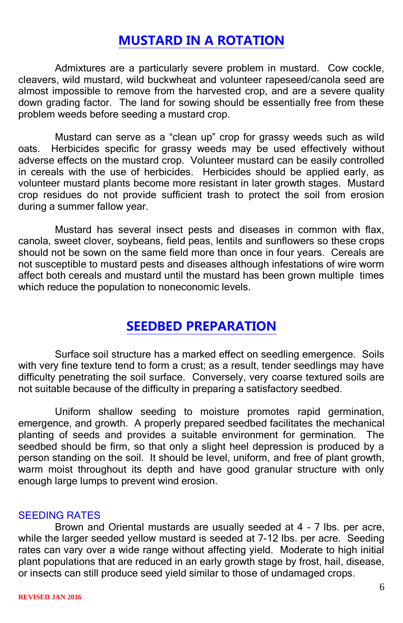### **MUSTARD IN A ROTATION**

Admixtures are a particularly severe problem in mustard. Cow cockle, cleavers, wild mustard, wild buckwheat and volunteer rapeseed/canola seed are almost impossible to remove from the harvested crop, and are a severe quality down grading factor. The land for sowing should be essentially free from these problem weeds before seeding a mustard crop.

Mustard can serve as a "clean up" crop for grassy weeds such as wild oats. Herbicides specific for grassy weeds may be used effectively without adverse effects on the mustard crop. Volunteer mustard can be easily controlled in cereals with the use of herbicides. Herbicides should be applied early, as volunteer mustard plants become more resistant in later growth stages. Mustard crop residues do not provide sufficient trash to protect the soil from erosion during a summer fallow year.

Mustard has several insect pests and diseases in common with flax, canola, sweet clover, soybeans, field peas, lentils and sunflowers so these crops should not be sown on the same field more than once in four years. Cereals are not susceptible to mustard pests and diseases although infestations of wire worm affect both cereals and mustard until the mustard has been grown multiple times which reduce the population to noneconomic levels.

## **SEEDBED PREPARATION**

Surface soil structure has a marked effect on seedling emergence. Soils with very fine texture tend to form a crust; as a result, tender seedlings may have difficulty penetrating the soil surface. Conversely, very coarse textured soils are not suitable because of the difficulty in preparing a satisfactory seedbed.

Uniform shallow seeding to moisture promotes rapid germination, emergence, and growth. A properly prepared seedbed facilitates the mechanical planting of seeds and provides a suitable environment for germination. The seedbed should be firm, so that only a slight heel depression is produced by a person standing on the soil. It should be level, uniform, and free of plant growth, warm moist throughout its depth and have good granular structure with only enough large lumps to prevent wind erosion.

### SEEDING RATES

Brown and Oriental mustards are usually seeded at 4 – 7 lbs. per acre, while the larger seeded yellow mustard is seeded at 7-12 lbs. per acre. Seeding rates can vary over a wide range without affecting yield. Moderate to high initial plant populations that are reduced in an early growth stage by frost, hail, disease, or insects can still produce seed yield similar to those of undamaged crops.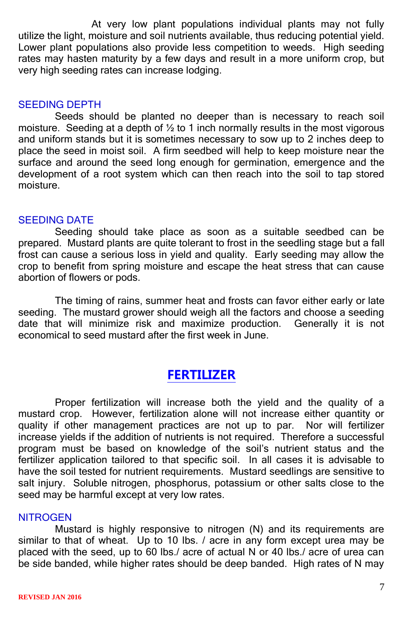At very low plant populations individual plants may not fully utilize the light, moisture and soil nutrients available, thus reducing potential yield. Lower plant populations also provide less competition to weeds. High seeding rates may hasten maturity by a few days and result in a more uniform crop, but very high seeding rates can increase lodging.

### SEEDING DEPTH

Seeds should be planted no deeper than is necessary to reach soil moisture. Seeding at a depth of ½ to 1 inch normally results in the most vigorous and uniform stands but it is sometimes necessary to sow up to 2 inches deep to place the seed in moist soil. A firm seedbed will help to keep moisture near the surface and around the seed long enough for germination, emergence and the development of a root system which can then reach into the soil to tap stored moisture.

### SEEDING DATE

Seeding should take place as soon as a suitable seedbed can be prepared. Mustard plants are quite tolerant to frost in the seedling stage but a fall frost can cause a serious loss in yield and quality. Early seeding may allow the crop to benefit from spring moisture and escape the heat stress that can cause abortion of flowers or pods.

The timing of rains, summer heat and frosts can favor either early or late seeding. The mustard grower should weigh all the factors and choose a seeding date that will minimize risk and maximize production. Generally it is not economical to seed mustard after the first week in June.

## **FERTILIZER**

Proper fertilization will increase both the yield and the quality of a mustard crop. However, fertilization alone will not increase either quantity or quality if other management practices are not up to par. Nor will fertilizer increase yields if the addition of nutrients is not required. Therefore a successful program must be based on knowledge of the soil's nutrient status and the fertilizer application tailored to that specific soil. In all cases it is advisable to have the soil tested for nutrient requirements. Mustard seedlings are sensitive to salt injury. Soluble nitrogen, phosphorus, potassium or other salts close to the seed may be harmful except at very low rates.

### **NITROGEN**

Mustard is highly responsive to nitrogen (N) and its requirements are similar to that of wheat. Up to 10 lbs. / acre in any form except urea may be placed with the seed, up to 60 lbs./ acre of actual N or 40 lbs./ acre of urea can be side banded, while higher rates should be deep banded. High rates of N may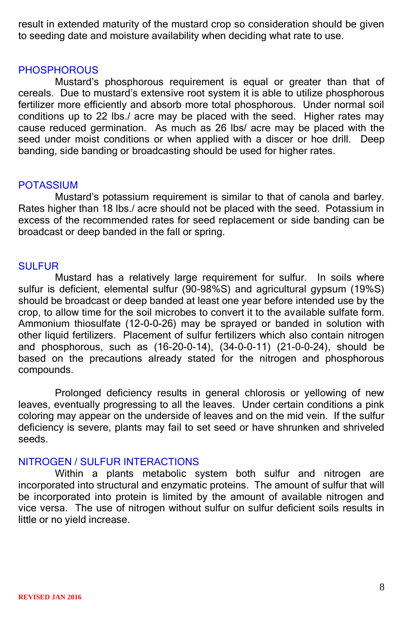result in extended maturity of the mustard crop so consideration should be given to seeding date and moisture availability when deciding what rate to use.

### **PHOSPHOROUS**

Mustard's phosphorous requirement is equal or greater than that of cereals. Due to mustard's extensive root system it is able to utilize phosphorous fertilizer more efficiently and absorb more total phosphorous. Under normal soil conditions up to 22 lbs./ acre may be placed with the seed. Higher rates may cause reduced germination. As much as 26 lbs/ acre may be placed with the seed under moist conditions or when applied with a discer or hoe drill. Deep banding, side banding or broadcasting should be used for higher rates.

### POTASSIUM

Mustard's potassium requirement is similar to that of canola and barley. Rates higher than 18 lbs./ acre should not be placed with the seed. Potassium in excess of the recommended rates for seed replacement or side banding can be broadcast or deep banded in the fall or spring.

### **SULFUR**

Mustard has a relatively large requirement for sulfur. In soils where sulfur is deficient, elemental sulfur (90-98%S) and agricultural gypsum (19%S) should be broadcast or deep banded at least one year before intended use by the crop, to allow time for the soil microbes to convert it to the available sulfate form. Ammonium thiosulfate (12-0-0-26) may be sprayed or banded in solution with other liquid fertilizers. Placement of sulfur fertilizers which also contain nitrogen and phosphorous, such as (16-20-0-14), (34-0-0-11) (21-0-0-24), should be based on the precautions already stated for the nitrogen and phosphorous compounds.

Prolonged deficiency results in general chlorosis or yellowing of new leaves, eventually progressing to all the leaves. Under certain conditions a pink coloring may appear on the underside of leaves and on the mid vein. If the sulfur deficiency is severe, plants may fail to set seed or have shrunken and shriveled seeds.

### NITROGEN / SULFUR INTERACTIONS

Within a plants metabolic system both sulfur and nitrogen are incorporated into structural and enzymatic proteins. The amount of sulfur that will be incorporated into protein is limited by the amount of available nitrogen and vice versa. The use of nitrogen without sulfur on sulfur deficient soils results in little or no yield increase.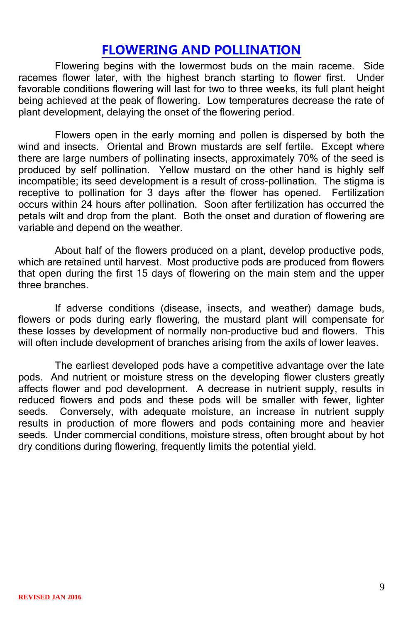### **FLOWERING AND POLLINATION**

Flowering begins with the lowermost buds on the main raceme. Side racemes flower later, with the highest branch starting to flower first. Under favorable conditions flowering will last for two to three weeks, its full plant height being achieved at the peak of flowering. Low temperatures decrease the rate of plant development, delaying the onset of the flowering period.

Flowers open in the early morning and pollen is dispersed by both the wind and insects. Oriental and Brown mustards are self fertile. Except where there are large numbers of pollinating insects, approximately 70% of the seed is produced by self pollination. Yellow mustard on the other hand is highly self incompatible; its seed development is a result of cross-pollination. The stigma is receptive to pollination for 3 days after the flower has opened. Fertilization occurs within 24 hours after pollination. Soon after fertilization has occurred the petals wilt and drop from the plant. Both the onset and duration of flowering are variable and depend on the weather.

About half of the flowers produced on a plant, develop productive pods, which are retained until harvest. Most productive pods are produced from flowers that open during the first 15 days of flowering on the main stem and the upper three branches.

If adverse conditions (disease, insects, and weather) damage buds, flowers or pods during early flowering, the mustard plant will compensate for these losses by development of normally non-productive bud and flowers. This will often include development of branches arising from the axils of lower leaves.

The earliest developed pods have a competitive advantage over the late pods. And nutrient or moisture stress on the developing flower clusters greatly affects flower and pod development. A decrease in nutrient supply, results in reduced flowers and pods and these pods will be smaller with fewer, lighter seeds. Conversely, with adequate moisture, an increase in nutrient supply results in production of more flowers and pods containing more and heavier seeds. Under commercial conditions, moisture stress, often brought about by hot dry conditions during flowering, frequently limits the potential yield.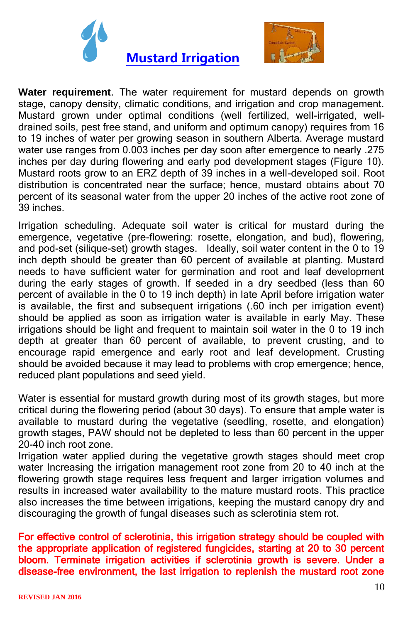



**Water requirement**. The water requirement for mustard depends on growth stage, canopy density, climatic conditions, and irrigation and crop management. Mustard grown under optimal conditions (well fertilized, well-irrigated, welldrained soils, pest free stand, and uniform and optimum canopy) requires from 16 to 19 inches of water per growing season in southern Alberta. Average mustard water use ranges from 0.003 inches per day soon after emergence to nearly .275 inches per day during flowering and early pod development stages (Figure 10). Mustard roots grow to an ERZ depth of 39 inches in a well-developed soil. Root distribution is concentrated near the surface; hence, mustard obtains about 70 percent of its seasonal water from the upper 20 inches of the active root zone of 39 inches.

Irrigation scheduling. Adequate soil water is critical for mustard during the emergence, vegetative (pre-flowering: rosette, elongation, and bud), flowering, and pod-set (silique-set) growth stages. Ideally, soil water content in the 0 to 19 inch depth should be greater than 60 percent of available at planting. Mustard needs to have sufficient water for germination and root and leaf development during the early stages of growth. If seeded in a dry seedbed (less than 60 percent of available in the 0 to 19 inch depth) in late April before irrigation water is available, the first and subsequent irrigations (.60 inch per irrigation event) should be applied as soon as irrigation water is available in early May. These irrigations should be light and frequent to maintain soil water in the 0 to 19 inch depth at greater than 60 percent of available, to prevent crusting, and to encourage rapid emergence and early root and leaf development. Crusting should be avoided because it may lead to problems with crop emergence; hence, reduced plant populations and seed yield.

Water is essential for mustard growth during most of its growth stages, but more critical during the flowering period (about 30 days). To ensure that ample water is available to mustard during the vegetative (seedling, rosette, and elongation) growth stages, PAW should not be depleted to less than 60 percent in the upper 20-40 inch root zone.

Irrigation water applied during the vegetative growth stages should meet crop water Increasing the irrigation management root zone from 20 to 40 inch at the flowering growth stage requires less frequent and larger irrigation volumes and results in increased water availability to the mature mustard roots. This practice also increases the time between irrigations, keeping the mustard canopy dry and discouraging the growth of fungal diseases such as sclerotinia stem rot.

For effective control of sclerotinia, this irrigation strategy should be coupled with the appropriate application of registered fungicides, starting at 20 to 30 percent bloom. Terminate irrigation activities if sclerotinia growth is severe. Under a disease-free environment, the last irrigation to replenish the mustard root zone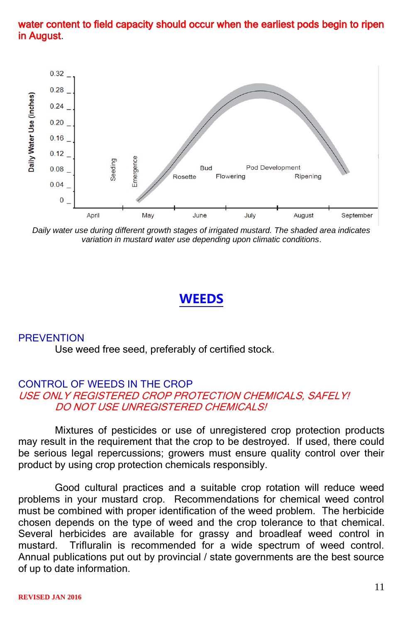### water content to field capacity should occur when the earliest pods begin to ripen in August.



*Daily water use during different growth stages of irrigated mustard. The shaded area indicates variation in mustard water use depending upon climatic conditions*.

### **WEEDS**

#### **PREVENTION**

Use weed free seed, preferably of certified stock.

### CONTROL OF WEEDS IN THE CROP USE ONLY REGISTERED CROP PROTECTION CHEMICALS, SAFELY! DO NOT USE UNREGISTERED CHEMICALS!

Mixtures of pesticides or use of unregistered crop protection products may result in the requirement that the crop to be destroyed. If used, there could be serious legal repercussions; growers must ensure quality control over their product by using crop protection chemicals responsibly.

Good cultural practices and a suitable crop rotation will reduce weed problems in your mustard crop. Recommendations for chemical weed control must be combined with proper identification of the weed problem. The herbicide chosen depends on the type of weed and the crop tolerance to that chemical. Several herbicides are available for grassy and broadleaf weed control in mustard. Trifluralin is recommended for a wide spectrum of weed control. Annual publications put out by provincial / state governments are the best source of up to date information.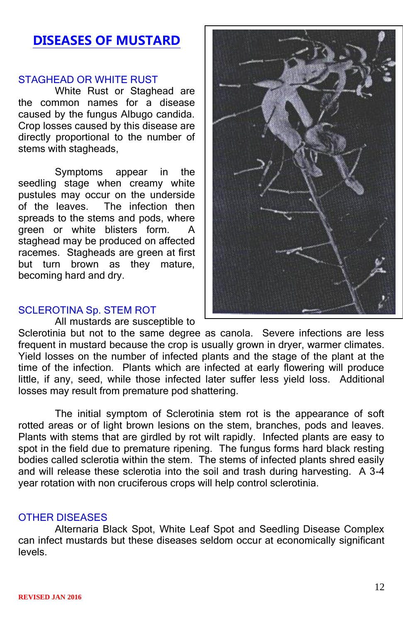## **DISEASES OF MUSTARD**

### STAGHEAD OR WHITE RUST

White Rust or Staghead are the common names for a disease caused by the fungus Albugo candida. Crop losses caused by this disease are directly proportional to the number of stems with stagheads.

Symptoms appear in the seedling stage when creamy white pustules may occur on the underside of the leaves. The infection then spreads to the stems and pods, where green or white blisters form. staghead may be produced on affected racemes. Stagheads are green at first but turn brown as they mature. becoming hard and dry.

#### SCLEROTINA Sp. STEM ROT

All mustards are susceptible to



Sclerotinia but not to the same degree as canola. Severe infections are less frequent in mustard because the crop is usually grown in dryer, warmer climates. Yield losses on the number of infected plants and the stage of the plant at the time of the infection. Plants which are infected at early flowering will produce little, if any, seed, while those infected later suffer less yield loss. Additional losses may result from premature pod shattering.

The initial symptom of Sclerotinia stem rot is the appearance of soft rotted areas or of light brown lesions on the stem, branches, pods and leaves. Plants with stems that are girdled by rot wilt rapidly. Infected plants are easy to spot in the field due to premature ripening. The fungus forms hard black resting bodies called sclerotia within the stem. The stems of infected plants shred easily and will release these sclerotia into the soil and trash during harvesting. A 3-4 year rotation with non cruciferous crops will help control sclerotinia.

#### OTHER DISEASES

Alternaria Black Spot, White Leaf Spot and Seedling Disease Complex can infect mustards but these diseases seldom occur at economically significant levels.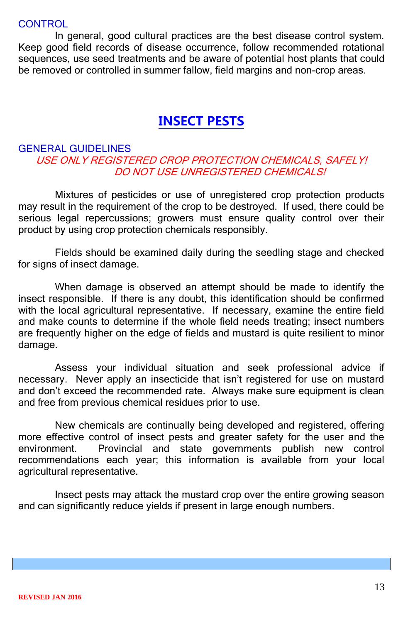### **CONTROL**

In general, good cultural practices are the best disease control system. Keep good field records of disease occurrence, follow recommended rotational sequences, use seed treatments and be aware of potential host plants that could be removed or controlled in summer fallow, field margins and non-crop areas.

## **INSECT PESTS**

### GENERAL GUIDELINES USE ONLY REGISTERED CROP PROTECTION CHEMICALS, SAFELY! DO NOT USE UNREGISTERED CHEMICALS!

Mixtures of pesticides or use of unregistered crop protection products may result in the requirement of the crop to be destroyed. If used, there could be serious legal repercussions; growers must ensure quality control over their product by using crop protection chemicals responsibly.

Fields should be examined daily during the seedling stage and checked for signs of insect damage.

When damage is observed an attempt should be made to identify the insect responsible. If there is any doubt, this identification should be confirmed with the local agricultural representative. If necessary, examine the entire field and make counts to determine if the whole field needs treating; insect numbers are frequently higher on the edge of fields and mustard is quite resilient to minor damage.

Assess your individual situation and seek professional advice if necessary. Never apply an insecticide that isn't registered for use on mustard and don't exceed the recommended rate. Always make sure equipment is clean and free from previous chemical residues prior to use.

New chemicals are continually being developed and registered, offering more effective control of insect pests and greater safety for the user and the environment. Provincial and state governments publish new control recommendations each year; this information is available from your local agricultural representative.

Insect pests may attack the mustard crop over the entire growing season and can significantly reduce yields if present in large enough numbers.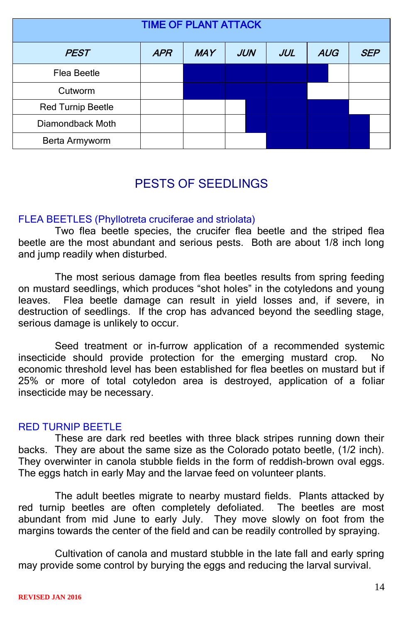| <b>TIME OF PLANT ATTACK</b> |            |            |            |            |            |            |  |  |
|-----------------------------|------------|------------|------------|------------|------------|------------|--|--|
| <b>PEST</b>                 | <b>APR</b> | <b>MAY</b> | <b>JUN</b> | <b>JUL</b> | <b>AUG</b> | <b>SEP</b> |  |  |
| Flea Beetle                 |            |            |            |            |            |            |  |  |
| Cutworm                     |            |            |            |            |            |            |  |  |
| Red Turnip Beetle           |            |            |            |            |            |            |  |  |
| Diamondback Moth            |            |            |            |            |            |            |  |  |
| Berta Armyworm              |            |            |            |            |            |            |  |  |

## PESTS OF SEEDLINGS

### FLEA BEETLES (Phyllotreta cruciferae and striolata)

Two flea beetle species, the crucifer flea beetle and the striped flea beetle are the most abundant and serious pests. Both are about 1/8 inch long and jump readily when disturbed.

The most serious damage from flea beetles results from spring feeding on mustard seedlings, which produces "shot holes" in the cotyledons and young leaves. Flea beetle damage can result in yield losses and, if severe, in destruction of seedlings. If the crop has advanced beyond the seedling stage, serious damage is unlikely to occur.

Seed treatment or in-furrow application of a recommended systemic insecticide should provide protection for the emerging mustard crop. No economic threshold level has been established for flea beetles on mustard but if 25% or more of total cotyledon area is destroyed, application of a foliar insecticide may be necessary.

### RED TURNIP BEETLE

These are dark red beetles with three black stripes running down their backs. They are about the same size as the Colorado potato beetle, (1/2 inch). They overwinter in canola stubble fields in the form of reddish-brown oval eggs. The eggs hatch in early May and the larvae feed on volunteer plants.

The adult beetles migrate to nearby mustard fields. Plants attacked by red turnip beetles are often completely defoliated. The beetles are most abundant from mid June to early July. They move slowly on foot from the margins towards the center of the field and can be readily controlled by spraying.

Cultivation of canola and mustard stubble in the late fall and early spring may provide some control by burying the eggs and reducing the larval survival.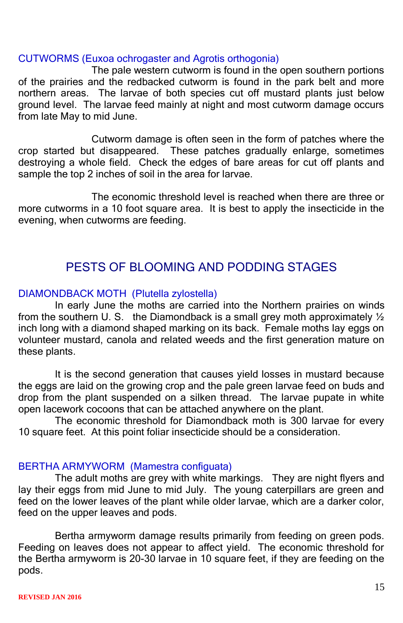### CUTWORMS (Euxoa ochrogaster and Agrotis orthogonia)

The pale western cutworm is found in the open southern portions of the prairies and the redbacked cutworm is found in the park belt and more northern areas. The larvae of both species cut off mustard plants just below ground level. The larvae feed mainly at night and most cutworm damage occurs from late May to mid June.

Cutworm damage is often seen in the form of patches where the crop started but disappeared. These patches gradually enlarge, sometimes destroying a whole field. Check the edges of bare areas for cut off plants and sample the top 2 inches of soil in the area for larvae.

The economic threshold level is reached when there are three or more cutworms in a 10 foot square area. It is best to apply the insecticide in the evening, when cutworms are feeding.

### PESTS OF BLOOMING AND PODDING STAGES

### DIAMONDBACK MOTH (Plutella zylostella)

In early June the moths are carried into the Northern prairies on winds from the southern U. S. the Diamondback is a small grey moth approximately 1/2 inch long with a diamond shaped marking on its back. Female moths lay eggs on volunteer mustard, canola and related weeds and the first generation mature on these plants.

It is the second generation that causes yield losses in mustard because the eggs are laid on the growing crop and the pale green larvae feed on buds and drop from the plant suspended on a silken thread. The larvae pupate in white open lacework cocoons that can be attached anywhere on the plant.

The economic threshold for Diamondback moth is 300 larvae for every 10 square feet. At this point foliar insecticide should be a consideration.

### BERTHA ARMYWORM (Mamestra configuata)

The adult moths are grey with white markings. They are night flyers and lay their eggs from mid June to mid July. The young caterpillars are green and feed on the lower leaves of the plant while older larvae, which are a darker color, feed on the upper leaves and pods.

Bertha armyworm damage results primarily from feeding on green pods. Feeding on leaves does not appear to affect yield. The economic threshold for the Bertha armyworm is 20-30 larvae in 10 square feet, if they are feeding on the pods.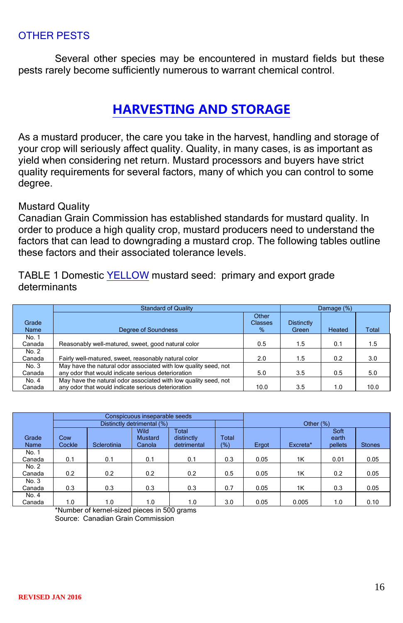### OTHER PESTS

Several other species may be encountered in mustard fields but these pests rarely become sufficiently numerous to warrant chemical control.

## **HARVESTING AND STORAGE**

As a mustard producer, the care you take in the harvest, handling and storage of your crop will seriously affect quality. Quality, in many cases, is as important as yield when considering net return. Mustard processors and buyers have strict quality requirements for several factors, many of which you can control to some degree.

### Mustard Quality

Canadian Grain Commission has established standards for mustard quality. In order to produce a high quality crop, mustard producers need to understand the factors that can lead to downgrading a mustard crop. The following tables outline these factors and their associated tolerance levels.

TABLE 1 Domestic YELLOW mustard seed: primary and export grade determinants

|               | <b>Standard of Quality</b>                                      | Damage (%)                   |                            |        |       |
|---------------|-----------------------------------------------------------------|------------------------------|----------------------------|--------|-------|
| Grade<br>Name | Degree of Soundness                                             | Other<br><b>Classes</b><br>% | <b>Distinctly</b><br>Green | Heated | Total |
| No. 1         |                                                                 |                              |                            |        |       |
| Canada        | Reasonably well-matured, sweet, good natural color              | 0.5                          | 1.5                        | 0.1    | 1.5   |
| No. 2         |                                                                 |                              |                            |        |       |
| Canada        | Fairly well-matured, sweet, reasonably natural color            | 2.0                          | 1.5                        | 0.2    | 3.0   |
| No. 3         | May have the natural odor associated with low quality seed, not |                              |                            |        |       |
| Canada        | any odor that would indicate serious deterioration              | 5.0                          | 3.5                        | 0.5    | 5.0   |
| No. 4         | May have the natural odor associated with low quality seed, not |                              |                            |        |       |
| Canada        | any odor that would indicate serious deterioration              | 10.0                         | 3.5                        | 1.0    | 10.0  |

|                 |               |             | Conspicuous inseparable seeds           |                                    |              |       |             |                          |               |
|-----------------|---------------|-------------|-----------------------------------------|------------------------------------|--------------|-------|-------------|--------------------------|---------------|
|                 |               |             | Distinctly detrimental (%)              |                                    |              |       | Other $(%)$ |                          |               |
| Grade<br>Name   | Cow<br>Cockle | Sclerotinia | <b>Wild</b><br><b>Mustard</b><br>Canola | Total<br>distinctly<br>detrimental | Total<br>(%) | Ergot | Excreta*    | Soft<br>earth<br>pellets | <b>Stones</b> |
| No. 1<br>Canada | 0.1           | 0.1         | 0.1                                     | 0.1                                | 0.3          | 0.05  | 1K          | 0.01                     | 0.05          |
| No. 2<br>Canada | 0.2           | 0.2         | 0.2                                     | 0.2                                | 0.5          | 0.05  | 1K          | 0.2                      | 0.05          |
| No. 3<br>Canada | 0.3           | 0.3         | 0.3                                     | 0.3                                | 0.7          | 0.05  | 1K          | 0.3                      | 0.05          |
| No. 4<br>Canada | 1.0           | 1.0         | 1.0                                     | 1.0                                | 3.0          | 0.05  | 0.005       | 1.0                      | 0.10          |

\*Number of kernel-sized pieces in 500 grams Source: Canadian Grain Commission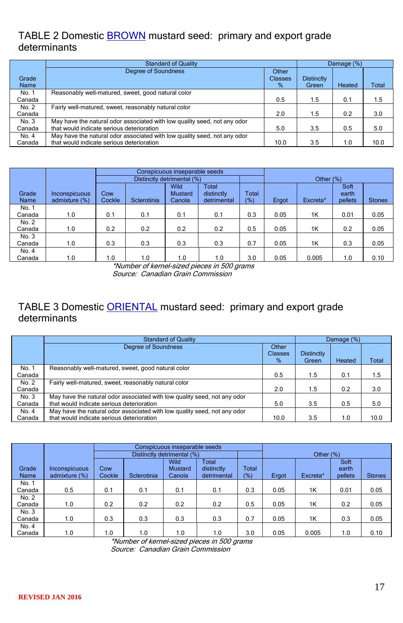### TABLE 2 Domestic **BROWN** mustard seed: primary and export grade determinants

|                 | <b>Standard of Quality</b>                                                                                            |                                 | Damage (%)                 |        |       |  |
|-----------------|-----------------------------------------------------------------------------------------------------------------------|---------------------------------|----------------------------|--------|-------|--|
| Grade<br>Name   | Degree of Soundness                                                                                                   | Other<br><b>Classes</b><br>$\%$ | <b>Distinctly</b><br>Green | Heated | Total |  |
| No. 1<br>Canada | Reasonably well-matured, sweet, good natural color                                                                    | 0.5                             | 1.5                        | 0.1    | 1.5   |  |
| No. 2<br>Canada | Fairly well-matured, sweet, reasonably natural color                                                                  | 2.0                             | 1.5                        | 0.2    | 3.0   |  |
| No. 3<br>Canada | May have the natural odor associated with low quality seed, not any odor<br>that would indicate serious deterioration | 5.0                             | 3.5                        | 0.5    | 5.0   |  |
| No. 4<br>Canada | May have the natural odor associated with low quality seed, not any odor<br>that would indicate serious deterioration | 10.0                            | 3.5                        | 1.0    | 10.0  |  |

|        |               |        |                            | Conspicuous inseparable seeds |                     |       |       |             |               |               |
|--------|---------------|--------|----------------------------|-------------------------------|---------------------|-------|-------|-------------|---------------|---------------|
|        |               |        | Distinctly detrimental (%) |                               |                     |       |       | Other $(%)$ |               |               |
| Grade  | Inconspicuous | Cow    |                            | Wild<br><b>Mustard</b>        | Total<br>distinctly | Total |       |             | Soft<br>earth |               |
| Name   | admixture (%) | Cockle | Sclerotinia                | Canola                        | detrimental         | (%)   | Ergot | Excreta*    | pellets       | <b>Stones</b> |
| No. 1  |               |        |                            |                               |                     |       |       |             |               |               |
| Canada | 1.0           | 0.1    | 0.1                        | 0.1                           | 0.1                 | 0.3   | 0.05  | 1K          | 0.01          | 0.05          |
| No. 2  |               |        |                            |                               |                     |       |       |             |               |               |
| Canada | 1.0           | 0.2    | 0.2                        | 0.2                           | 0.2                 | 0.5   | 0.05  | 1K          | 0.2           | 0.05          |
| No. 3  |               |        |                            |                               |                     |       |       |             |               |               |
| Canada | 1.0           | 0.3    | 0.3                        | 0.3                           | 0.3                 | 0.7   | 0.05  | 1K          | 0.3           | 0.05          |
| No. 4  |               |        |                            |                               |                     |       |       |             |               |               |
| Canada | 1.0           | 1.0    | 1.0                        | 1.0                           | 1.0                 | 3.0   | 0.05  | 0.005       | 1.0           | 0.10          |

\*Number of kernel-sized pieces in 500 grams

Source: Canadian Grain Commission

### TABLE 3 Domestic ORIENTAL mustard seed: primary and export grade determinants

|        | <b>Standard of Quality</b>                                               |                |                   | Damage (%) |       |
|--------|--------------------------------------------------------------------------|----------------|-------------------|------------|-------|
|        | Degree of Soundness                                                      | Other          |                   |            |       |
|        |                                                                          | <b>Classes</b> | <b>Distinctly</b> |            |       |
|        |                                                                          | %              | Green             | Heated     | Total |
| No. 1  | Reasonably well-matured, sweet, good natural color                       |                |                   |            |       |
| Canada |                                                                          | 0.5            | 1.5               | 0.1        | 1.5   |
| No. 2  | Fairly well-matured, sweet, reasonably natural color                     |                |                   |            |       |
| Canada |                                                                          | 2.0            | 1.5               | 0.2        | 3.0   |
| No. 3  | May have the natural odor associated with low quality seed, not any odor |                |                   |            |       |
| Canada | that would indicate serious deterioration                                | 5.0            | 3.5               | 0.5        | 5.0   |
| No. 4  | May have the natural odor associated with low quality seed, not any odor |                |                   |            |       |
| Canada | that would indicate serious deterioration                                | 10.0           | 3.5               | 1.0        | 10.0  |

|        |               |        |             | Conspicuous inseparable seeds |             |              |       |              |         |               |
|--------|---------------|--------|-------------|-------------------------------|-------------|--------------|-------|--------------|---------|---------------|
|        |               |        |             | Distinctly detrimental (%)    |             |              |       | Other $(\%)$ |         |               |
|        |               |        |             | Wild                          | Total       |              |       |              | Soft    |               |
| Grade  | Inconspicuous | Cow    |             | <b>Mustard</b>                | distinctly  | <b>Total</b> |       |              | earth   |               |
| Name   | admixture (%) | Cockle | Sclerotinia | Canola                        | detrimental | (% )         | Ergot | Excreta*     | pellets | <b>Stones</b> |
| No. 1  |               |        |             |                               |             |              |       |              |         |               |
| Canada | 0.5           | 0.1    | 0.1         | 0.1                           | 0.1         | 0.3          | 0.05  | 1K           | 0.01    | 0.05          |
| No. 2  |               |        |             |                               |             |              |       |              |         |               |
| Canada | 1.0           | 0.2    | 0.2         | 0.2                           | 0.2         | 0.5          | 0.05  | 1K           | 0.2     | 0.05          |
| No. 3  |               |        |             |                               |             |              |       |              |         |               |
| Canada | 1.0           | 0.3    | 0.3         | 0.3                           | 0.3         | 0.7          | 0.05  | 1K           | 0.3     | 0.05          |
| No. 4  |               |        |             |                               |             |              |       |              |         |               |
| Canada | 1.0           | 1.0    | 1.0         | 1.0                           | 1.0         | 3.0          | 0.05  | 0.005        | 1.0     | 0.10          |

\*Number of kernel-sized pieces in 500 grams

Source: Canadian Grain Commission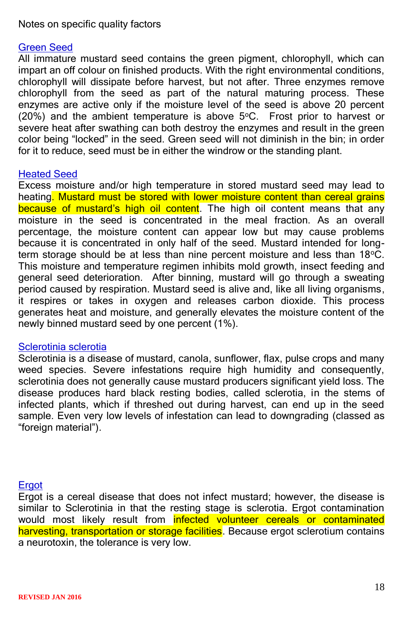### Notes on specific quality factors

### Green Seed

All immature mustard seed contains the green pigment, chlorophyll, which can impart an off colour on finished products. With the right environmental conditions, chlorophyll will dissipate before harvest, but not after. Three enzymes remove chlorophyll from the seed as part of the natural maturing process. These enzymes are active only if the moisture level of the seed is above 20 percent (20%) and the ambient temperature is above  $5^{\circ}$ C. Frost prior to harvest or severe heat after swathing can both destroy the enzymes and result in the green color being "locked" in the seed. Green seed will not diminish in the bin; in order for it to reduce, seed must be in either the windrow or the standing plant.

### Heated Seed

Excess moisture and/or high temperature in stored mustard seed may lead to heating. Mustard must be stored with lower moisture content than cereal grains because of mustard's high oil content. The high oil content means that any moisture in the seed is concentrated in the meal fraction. As an overall percentage, the moisture content can appear low but may cause problems because it is concentrated in only half of the seed. Mustard intended for longterm storage should be at less than nine percent moisture and less than 18°C. This moisture and temperature regimen inhibits mold growth, insect feeding and general seed deterioration. After binning, mustard will go through a sweating period caused by respiration. Mustard seed is alive and, like all living organisms, it respires or takes in oxygen and releases carbon dioxide. This process generates heat and moisture, and generally elevates the moisture content of the newly binned mustard seed by one percent (1%).

### Sclerotinia sclerotia

Sclerotinia is a disease of mustard, canola, sunflower, flax, pulse crops and many weed species. Severe infestations require high humidity and consequently, sclerotinia does not generally cause mustard producers significant yield loss. The disease produces hard black resting bodies, called sclerotia, in the stems of infected plants, which if threshed out during harvest, can end up in the seed sample. Even very low levels of infestation can lead to downgrading (classed as "foreign material").

### **Ergot**

Ergot is a cereal disease that does not infect mustard; however, the disease is similar to Sclerotinia in that the resting stage is sclerotia. Ergot contamination would most likely result from <mark>infected volunteer cereals or contaminated</mark> harvesting, transportation or storage facilities. Because ergot sclerotium contains a neurotoxin, the tolerance is very low.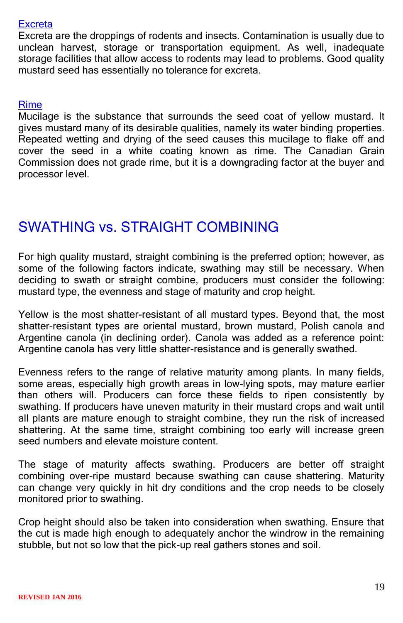### **Excreta**

Excreta are the droppings of rodents and insects. Contamination is usually due to unclean harvest, storage or transportation equipment. As well, inadequate storage facilities that allow access to rodents may lead to problems. Good quality mustard seed has essentially no tolerance for excreta.

### Rime

Mucilage is the substance that surrounds the seed coat of yellow mustard. It gives mustard many of its desirable qualities, namely its water binding properties. Repeated wetting and drying of the seed causes this mucilage to flake off and cover the seed in a white coating known as rime. The Canadian Grain Commission does not grade rime, but it is a downgrading factor at the buyer and processor level.

# SWATHING vs. STRAIGHT COMBINING

For high quality mustard, straight combining is the preferred option; however, as some of the following factors indicate, swathing may still be necessary. When deciding to swath or straight combine, producers must consider the following: mustard type, the evenness and stage of maturity and crop height.

Yellow is the most shatter-resistant of all mustard types. Beyond that, the most shatter-resistant types are oriental mustard, brown mustard, Polish canola and Argentine canola (in declining order). Canola was added as a reference point: Argentine canola has very little shatter-resistance and is generally swathed.

Evenness refers to the range of relative maturity among plants. In many fields, some areas, especially high growth areas in low-lying spots, may mature earlier than others will. Producers can force these fields to ripen consistently by swathing. If producers have uneven maturity in their mustard crops and wait until all plants are mature enough to straight combine, they run the risk of increased shattering. At the same time, straight combining too early will increase green seed numbers and elevate moisture content.

The stage of maturity affects swathing. Producers are better off straight combining over-ripe mustard because swathing can cause shattering. Maturity can change very quickly in hit dry conditions and the crop needs to be closely monitored prior to swathing.

Crop height should also be taken into consideration when swathing. Ensure that the cut is made high enough to adequately anchor the windrow in the remaining stubble, but not so low that the pick-up real gathers stones and soil.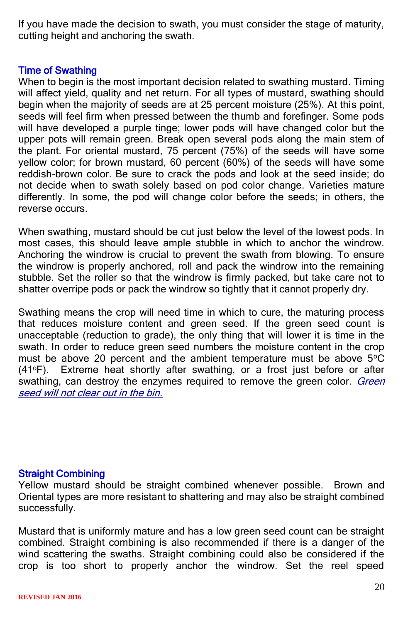If you have made the decision to swath, you must consider the stage of maturity, cutting height and anchoring the swath.

### Time of Swathing

When to begin is the most important decision related to swathing mustard. Timing will affect yield, quality and net return. For all types of mustard, swathing should begin when the majority of seeds are at 25 percent moisture (25%). At this point, seeds will feel firm when pressed between the thumb and forefinger. Some pods will have developed a purple tinge; lower pods will have changed color but the upper pots will remain green. Break open several pods along the main stem of the plant. For oriental mustard, 75 percent (75%) of the seeds will have some yellow color; for brown mustard,  $60$  percent  $(60\%)$  of the seeds will have some reddish-brown color. Be sure to crack the pods and look at the seed inside; do not decide when to swath solely based on pod color change. Varieties mature differently. In some, the pod will change color before the seeds; in others, the reverse occurs.

When swathing, mustard should be cut just below the level of the lowest pods. In most cases, this should leave ample stubble in which to anchor the windrow. Anchoring the windrow is crucial to prevent the swath from blowing. To ensure the windrow is properly anchored, roll and pack the windrow into the remaining stubble. Set the roller so that the windrow is firmly packed, but take care not to shatter overripe pods or pack the windrow so tightly that it cannot properly dry.

Swathing means the crop will need time in which to cure, the maturing process that reduces moisture content and green seed. If the green seed count is unacceptable (reduction to grade), the only thing that will lower it is time in the swath. In order to reduce green seed numbers the moisture content in the crop must be above 20 percent and the ambient temperature must be above  $5^{\circ}$ C (41<sup>o</sup>F). Extreme heat shortly after swathing, or a frost just before or after swathing, can destroy the enzymes required to remove the green color. Green seed will not clear out in the bin.

### Straight Combining

Yellow mustard should be straight combined whenever possible. Brown and Oriental types are more resistant to shattering and may also be straight combined successfully.

Mustard that is uniformly mature and has a low green seed count can be straight combined. Straight combining is also recommended if there is a danger of the wind scattering the swaths. Straight combining could also be considered if the crop is too short to properly anchor the windrow. Set the reel speed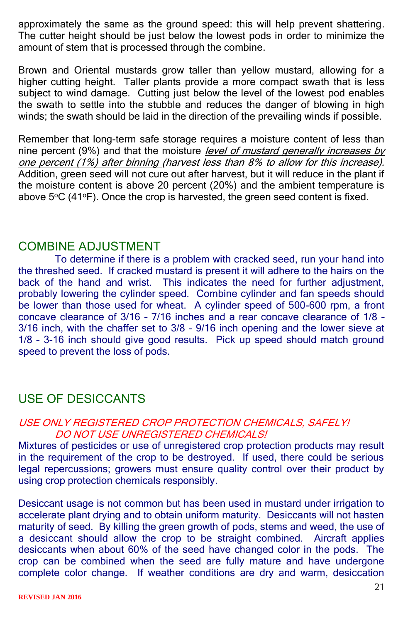approximately the same as the ground speed: this will help prevent shattering. The cutter height should be just below the lowest pods in order to minimize the amount of stem that is processed through the combine.

Brown and Oriental mustards grow taller than yellow mustard, allowing for a higher cutting height. Taller plants provide a more compact swath that is less subject to wind damage. Cutting just below the level of the lowest pod enables the swath to settle into the stubble and reduces the danger of blowing in high winds; the swath should be laid in the direction of the prevailing winds if possible.

Remember that long-term safe storage requires a moisture content of less than nine percent (9%) and that the moisture *level of mustard generally increases by* one percent (1%) after binning (harvest less than 8% to allow for this increase). Addition, green seed will not cure out after harvest, but it will reduce in the plant if the moisture content is above 20 percent (20%) and the ambient temperature is above  $5^{\circ}$ C (41 $^{\circ}$ F). Once the crop is harvested, the green seed content is fixed.

### COMBINE ADJUSTMENT

To determine if there is a problem with cracked seed, run your hand into the threshed seed. If cracked mustard is present it will adhere to the hairs on the back of the hand and wrist. This indicates the need for further adjustment, probably lowering the cylinder speed. Combine cylinder and fan speeds should be lower than those used for wheat. A cylinder speed of 500-600 rpm, a front concave clearance of 3/16 – 7/16 inches and a rear concave clearance of 1/8 – 3/16 inch, with the chaffer set to 3/8 – 9/16 inch opening and the lower sieve at 1/8 – 3-16 inch should give good results. Pick up speed should match ground speed to prevent the loss of pods.

## USE OF DESICCANTS

### USE ONLY REGISTERED CROP PROTECTION CHEMICALS, SAFELY! DO NOT USE UNREGISTERED CHEMICALS!

Mixtures of pesticides or use of unregistered crop protection products may result in the requirement of the crop to be destroyed. If used, there could be serious legal repercussions; growers must ensure quality control over their product by using crop protection chemicals responsibly.

Desiccant usage is not common but has been used in mustard under irrigation to accelerate plant drying and to obtain uniform maturity. Desiccants will not hasten maturity of seed. By killing the green growth of pods, stems and weed, the use of a desiccant should allow the crop to be straight combined. Aircraft applies desiccants when about 60% of the seed have changed color in the pods. The crop can be combined when the seed are fully mature and have undergone complete color change. If weather conditions are dry and warm, desiccation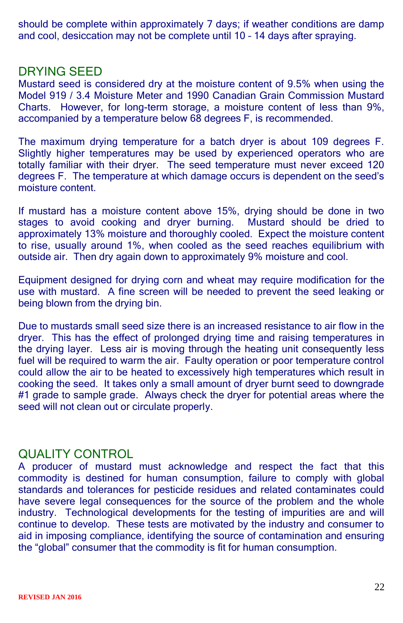should be complete within approximately 7 days; if weather conditions are damp and cool, desiccation may not be complete until 10 – 14 days after spraying.

### DRYING SEED

Mustard seed is considered dry at the moisture content of 9.5% when using the Model 919 / 3.4 Moisture Meter and 1990 Canadian Grain Commission Mustard Charts. However, for long-term storage, a moisture content of less than 9%, accompanied by a temperature below 68 degrees F, is recommended.

The maximum drying temperature for a batch dryer is about 109 degrees F. Slightly higher temperatures may be used by experienced operators who are totally familiar with their dryer. The seed temperature must never exceed 120 degrees F. The temperature at which damage occurs is dependent on the seed's moisture content.

If mustard has a moisture content above 15%, drying should be done in two stages to avoid cooking and dryer burning. Mustard should be dried to approximately 13% moisture and thoroughly cooled. Expect the moisture content to rise, usually around 1%, when cooled as the seed reaches equilibrium with outside air. Then dry again down to approximately 9% moisture and cool.

Equipment designed for drying corn and wheat may require modification for the use with mustard. A fine screen will be needed to prevent the seed leaking or being blown from the drying bin.

Due to mustards small seed size there is an increased resistance to air flow in the dryer. This has the effect of prolonged drying time and raising temperatures in the drying layer. Less air is moving through the heating unit consequently less fuel will be required to warm the air. Faulty operation or poor temperature control could allow the air to be heated to excessively high temperatures which result in cooking the seed. It takes only a small amount of dryer burnt seed to downgrade #1 grade to sample grade. Always check the dryer for potential areas where the seed will not clean out or circulate properly.

## QUALITY CONTROL

A producer of mustard must acknowledge and respect the fact that this commodity is destined for human consumption, failure to comply with global standards and tolerances for pesticide residues and related contaminates could have severe legal consequences for the source of the problem and the whole industry. Technological developments for the testing of impurities are and will continue to develop. These tests are motivated by the industry and consumer to aid in imposing compliance, identifying the source of contamination and ensuring the "global" consumer that the commodity is fit for human consumption.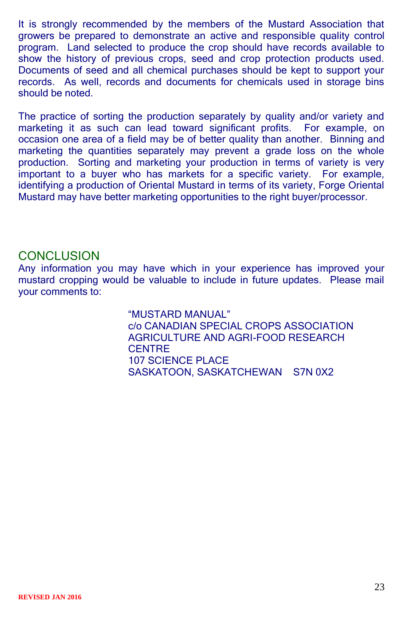It is strongly recommended by the members of the Mustard Association that growers be prepared to demonstrate an active and responsible quality control program. Land selected to produce the crop should have records available to show the history of previous crops, seed and crop protection products used. Documents of seed and all chemical purchases should be kept to support your records. As well, records and documents for chemicals used in storage bins should be noted.

The practice of sorting the production separately by quality and/or variety and marketing it as such can lead toward significant profits. For example, on occasion one area of a field may be of better quality than another. Binning and marketing the quantities separately may prevent a grade loss on the whole production. Sorting and marketing your production in terms of variety is very important to a buyer who has markets for a specific variety. For example, identifying a production of Oriental Mustard in terms of its variety, Forge Oriental Mustard may have better marketing opportunities to the right buyer/processor.

### **CONCLUSION**

Any information you may have which in your experience has improved your mustard cropping would be valuable to include in future updates. Please mail your comments to:

> "MUSTARD MANUAL" c/o CANADIAN SPECIAL CROPS ASSOCIATION AGRICULTURE AND AGRI-FOOD RESEARCH **CENTRE** 107 SCIENCE PLACE SASKATOON, SASKATCHEWAN S7N 0X2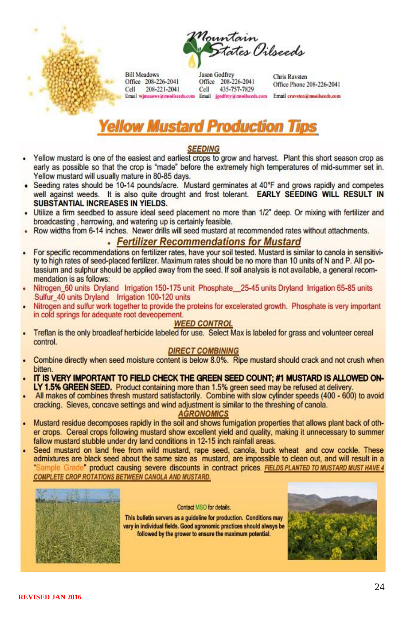



**Bill Meadows** Office 208-226-2041 208-221-2041 Cell Email wimeaows@msoilseeds.com

**Jason Godfrey** Office 208-226-2041 Cell 435-757-7829 Email irodfrev@msoilseeds.com

**Chris Raysten** Office Phone 208-226-2041 Email craysten@msoibeeds.com

# **Yellow Mustard Production Tips**

#### **SEEDING**

- Yellow mustard is one of the easiest and earliest crops to grow and harvest. Plant this short season crop as early as possible so that the crop is "made" before the extremely high temperatures of mid-summer set in. Yellow mustard will usually mature in 80-85 days.
- Seeding rates should be 10-14 pounds/acre. Mustard germinates at 40\*F and grows rapidly and competes well against weeds. It is also quite drought and frost tolerant. EARLY SEEDING WILL RESULT IN SUBSTANTIAL INCREASES IN YIELDS.
- Utilize a firm seedbed to assure ideal seed placement no more than 1/2" deep. Or mixing with fertilizer and broadcasting, harrowing, and watering up is certainly feasible.
	- Row widths from 6-14 inches. Newer drills will seed mustard at recommended rates without attachments.

#### • Fertilizer Recommendations for Mustard

- For specific recommendations on fertilizer rates, have your soil tested. Mustard is similar to canola in sensitivity to high rates of seed-placed fertilizer. Maximum rates should be no more than 10 units of N and P. All potassium and sulphur should be applied away from the seed. If soil analysis is not available, a general recommendation is as follows:
- Nitrogen 60 units Dryland Irrigation 150-175 unit Phosphate 25-45 units Dryland Irrigation 65-85 units Sulfur 40 units Dryland Irrigation 100-120 units
- Nitrogen and sulfur work together to provide the proteins for excelerated growth. Phosphate is very important in cold springs for adequate root deveopement.

#### **WEED CONTROL**

Treflan is the only broadleaf herbicide labeled for use. Select Max is labeled for grass and volunteer cereal control.

#### **DIRECT COMBINING**

- Combine directly when seed moisture content is below 8.0%. Ripe mustard should crack and not crush when bitten.
- IT IS VERY IMPORTANT TO FIELD CHECK THE GREEN SEED COUNT: #1 MUSTARD IS ALLOWED ON-LY 1.5% GREEN SEED. Product containing more than 1.5% green seed may be refused at delivery.
- All makes of combines thresh mustard satisfactorily. Combine with slow cylinder speeds (400 600) to avoid cracking. Sieves, concave settings and wind adjustment is similar to the threshing of canola.

#### **AGRONOMICS**

- Mustard residue decomposes rapidly in the soil and shows fumigation properties that allows plant back of other crops. Cereal crops following mustard show excellent yield and quality, making it unnecessary to summer fallow mustard stubble under dry land conditions in 12-15 inch rainfall areas.
- Seed mustard on land free from wild mustard, rape seed, canola, buck wheat and cow cockle. These admixtures are black seed about the same size as mustard, are impossible to clean out, and will result in a "Sample Grade" product causing severe discounts in contract prices. FIELDS PLANTED TO MUSTARD MUST HAVE 4 **COMPLETE CROP ROTATIONS BETWEEN CANOLA AND MUSTARD.**



#### Contact MSO for details.

This bulletin servers as a guideline for production. Conditions may vary in individual fields. Good agronomic practices should always be followed by the grower to ensure the maximum potential.

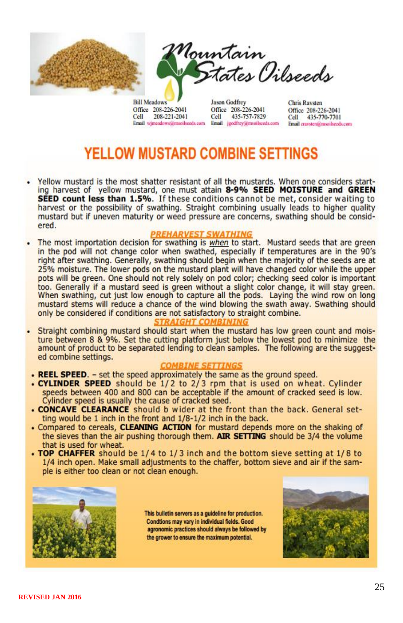

Office 208-226-2041 Cell 208-221-2041 Email wjmeadows@msoilseeds.com Jason Godfrey Office 208-226-2041 Cell 435-757-7829 Email isodfrev@msoilseeds.com **Chris Raysten** Office 208-226-2041 Cell 435-770-7701 Email craysten@msoilseeds.com

# YELLOW MUSTARD COMBINE SETTINGS

Yellow mustard is the most shatter resistant of all the mustards. When one considers starting harvest of yellow mustard, one must attain 8-9% SEED MOISTURE and GREEN SEED count less than 1.5%. If these conditions cannot be met, consider waiting to harvest or the possibility of swathing. Straight combining usually leads to higher quality mustard but if uneven maturity or weed pressure are concerns, swathing should be considered.

#### **REHARVEST SWATHING**

The most importation decision for swathing is when to start. Mustard seeds that are green in the pod will not change color when swathed, especially if temperatures are in the 90's right after swathing. Generally, swathing should begin when the majority of the seeds are at 25% moisture. The lower pods on the mustard plant will have changed color while the upper pots will be green. One should not rely solely on pod color; checking seed color is important too. Generally if a mustard seed is green without a slight color change, it will stay green. When swathing, cut just low enough to capture all the pods. Laying the wind row on long mustard stems will reduce a chance of the wind blowing the swath away. Swathing should only be considered if conditions are not satisfactory to straight combine.

#### *STRAIGHT COMBININ*

Straight combining mustard should start when the mustard has low green count and moisture between 8 & 9%. Set the cutting platform just below the lowest pod to minimize the amount of product to be separated lending to clean samples. The following are the suggested combine settings.

#### **COMBINE SETTINGS**

- REEL SPEED. set the speed approximately the same as the ground speed.
- CYLINDER SPEED should be 1/2 to 2/3 rpm that is used on wheat. Cylinder speeds between 400 and 800 can be acceptable if the amount of cracked seed is low. Cylinder speed is usually the cause of cracked seed.
- . CONCAVE CLEARANCE should b wider at the front than the back. General setting would be 1 inch in the front and 1/8-1/2 inch in the back.
- . Compared to cereals, CLEANING ACTION for mustard depends more on the shaking of the sieves than the air pushing thorough them. AIR SETTING should be 3/4 the volume that is used for wheat.
- . TOP CHAFFER should be 1/4 to 1/3 inch and the bottom sieve setting at 1/8 to 1/4 inch open. Make small adjustments to the chaffer, bottom sieve and air if the sample is either too clean or not clean enough.



This bulletin servers as a quideline for production. Condtions may vary in individual fields. Good agronomic practices should always be followed by the grower to ensure the maximum potential.

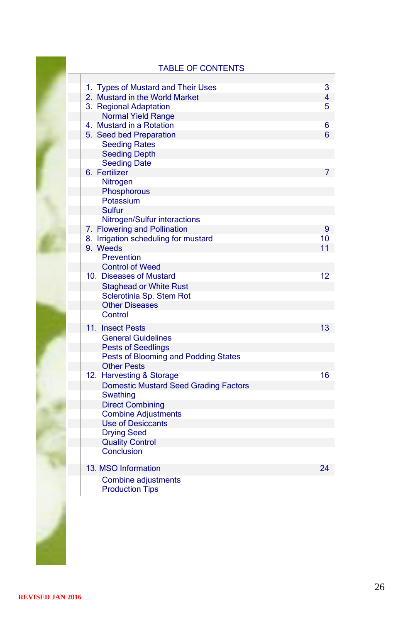### TABLE OF CONTENTS

| 1. Types of Mustard and Their Uses           | 3              |
|----------------------------------------------|----------------|
| 2. Mustard in the World Market               | $\overline{4}$ |
| 3. Regional Adaptation                       | 5              |
| <b>Normal Yield Range</b>                    |                |
| 4. Mustard in a Rotation                     | 6              |
| 5. Seed bed Preparation                      | 6              |
| <b>Seeding Rates</b>                         |                |
| <b>Seeding Depth</b>                         |                |
| <b>Seeding Date</b>                          |                |
| 6. Fertilizer                                | 7              |
| Nitrogen                                     |                |
| Phosphorous                                  |                |
| Potassium                                    |                |
| Sulfur                                       |                |
| Nitrogen/Sulfur interactions                 |                |
| 7. Flowering and Pollination                 | 9              |
| 8. Irrigation scheduling for mustard         | 10             |
| 9. Weeds                                     | 11             |
| Prevention                                   |                |
| <b>Control of Weed</b>                       |                |
| 10. Diseases of Mustard                      | 12             |
| <b>Staghead or White Rust</b>                |                |
| Sclerotinia Sp. Stem Rot                     |                |
| <b>Other Diseases</b>                        |                |
| Control                                      |                |
| 11. Insect Pests                             | 13             |
| <b>General Guidelines</b>                    |                |
| <b>Pests of Seedlings</b>                    |                |
| Pests of Blooming and Podding States         |                |
| <b>Other Pests</b>                           |                |
| 12. Harvesting & Storage                     | 16             |
| <b>Domestic Mustard Seed Grading Factors</b> |                |
| Swathing                                     |                |
| <b>Direct Combining</b>                      |                |
| <b>Combine Adjustments</b>                   |                |
| <b>Use of Desiccants</b>                     |                |
| <b>Drying Seed</b>                           |                |
| <b>Quality Control</b>                       |                |
| Conclusion                                   |                |
| 13. MSO Information                          | 24             |
| Combine adjustments                          |                |
| <b>Production Tips</b>                       |                |
|                                              |                |
|                                              |                |